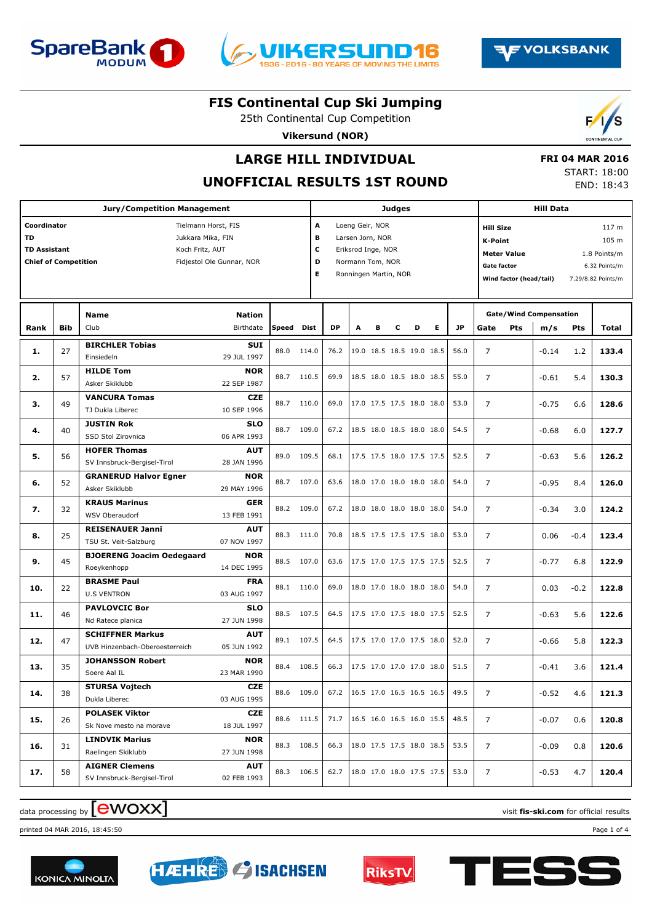





25th Continental Cup Competition

**Vikersund (NOR)**



# **LARGE HILL INDIVIDUAL**

#### **UNOFFICIAL RESULTS 1ST ROUND**

| <b>FRI 04 MAR 2016</b> |            |
|------------------------|------------|
| START: 18:00           |            |
|                        | END: 18:43 |

| <b>Jury/Competition Management</b> |                                                                                                                                                               |                                                           |                           |            |       |                                                                                                                                  | <b>Judges</b> |   |   |                                 |           |      |                                                                                                    |                                      | <b>Hill Data</b> |        |                                                                       |  |  |
|------------------------------------|---------------------------------------------------------------------------------------------------------------------------------------------------------------|-----------------------------------------------------------|---------------------------|------------|-------|----------------------------------------------------------------------------------------------------------------------------------|---------------|---|---|---------------------------------|-----------|------|----------------------------------------------------------------------------------------------------|--------------------------------------|------------------|--------|-----------------------------------------------------------------------|--|--|
| TD                                 | Coordinator<br>Tielmann Horst, FIS<br>Jukkara Mika, FIN<br><b>TD Assistant</b><br>Koch Fritz, AUT<br><b>Chief of Competition</b><br>Fidjestol Ole Gunnar, NOR |                                                           |                           |            |       | Α<br>Loeng Geir, NOR<br>в<br>Larsen Jorn, NOR<br>c<br>Eriksrod Inge, NOR<br>D<br>Normann Tom, NOR<br>E.<br>Ronningen Martin, NOR |               |   |   |                                 |           |      | <b>Hill Size</b><br>K-Point<br><b>Meter Value</b><br><b>Gate factor</b><br>Wind factor (head/tail) |                                      |                  |        | 117 m<br>105 m<br>1.8 Points/m<br>6.32 Points/m<br>7.29/8.82 Points/m |  |  |
| Rank                               | <b>Bib</b>                                                                                                                                                    | <b>Name</b><br>Club                                       | Speed                     | Dist       | DP    | A                                                                                                                                | в             | c | D | Е                               | <b>JP</b> | Gate | <b>Pts</b>                                                                                         | <b>Gate/Wind Compensation</b><br>m/s | Pts              | Total  |                                                                       |  |  |
| 1.                                 | 27                                                                                                                                                            | <b>BIRCHLER Tobias</b><br>Einsiedeln                      | SUI<br>29 JUL 1997        | 88.0       | 114.0 | 76.2                                                                                                                             |               |   |   | 19.0 18.5 18.5 19.0 18.5        |           | 56.0 | $\overline{7}$                                                                                     |                                      | $-0.14$          | 1.2    | 133.4                                                                 |  |  |
| 2.                                 | 57                                                                                                                                                            | <b>HILDE Tom</b><br>Asker Skiklubb                        | <b>NOR</b><br>22 SEP 1987 | 88.7       | 110.5 | 69.9                                                                                                                             |               |   |   | 18.5 18.0 18.5 18.0 18.5        |           | 55.0 | $\overline{7}$                                                                                     |                                      | $-0.61$          | 5.4    | 130.3                                                                 |  |  |
| з.                                 | 49                                                                                                                                                            | <b>VANCURA Tomas</b><br>TJ Dukla Liberec                  | <b>CZE</b><br>10 SEP 1996 | 88.7       | 110.0 | 69.0                                                                                                                             |               |   |   | 17.0 17.5 17.5 18.0 18.0        |           | 53.0 | $\overline{7}$                                                                                     |                                      | $-0.75$          | 6.6    | 128.6                                                                 |  |  |
| 4.                                 | 40                                                                                                                                                            | <b>JUSTIN Rok</b><br>SSD Stol Zirovnica                   | <b>SLO</b><br>06 APR 1993 | 88.7       | 109.0 | 67.2                                                                                                                             |               |   |   | 18.5 18.0 18.5 18.0 18.0        |           | 54.5 | $\overline{7}$                                                                                     |                                      | $-0.68$          | 6.0    | 127.7                                                                 |  |  |
| 5.                                 | 56                                                                                                                                                            | <b>HOFER Thomas</b><br>SV Innsbruck-Bergisel-Tirol        | <b>AUT</b><br>28 JAN 1996 | 89.0       | 109.5 | 68.1                                                                                                                             |               |   |   | 17.5 17.5 18.0 17.5 17.5        |           | 52.5 | $\overline{7}$                                                                                     |                                      | $-0.63$          | 5.6    | 126.2                                                                 |  |  |
| 6.                                 | 52                                                                                                                                                            | <b>GRANERUD Halvor Egner</b><br>Asker Skiklubb            | <b>NOR</b><br>29 MAY 1996 | 88.7       | 107.0 | 63.6                                                                                                                             |               |   |   | 18.0 17.0 18.0 18.0 18.0        |           | 54.0 | $\overline{7}$                                                                                     |                                      | $-0.95$          | 8.4    | 126.0                                                                 |  |  |
| 7.                                 | 32                                                                                                                                                            | <b>KRAUS Marinus</b><br>WSV Oberaudorf                    | <b>GER</b><br>13 FEB 1991 | 88.2       | 109.0 | 67.2                                                                                                                             |               |   |   | 18.0 18.0 18.0 18.0 18.0        |           | 54.0 | $\overline{7}$                                                                                     |                                      | $-0.34$          | 3.0    | 124.2                                                                 |  |  |
| 8.                                 | 25                                                                                                                                                            | <b>REISENAUER Janni</b><br>TSU St. Veit-Salzburg          | <b>AUT</b><br>07 NOV 1997 | 88.3       | 111.0 | 70.8                                                                                                                             |               |   |   | 18.5 17.5 17.5 17.5 18.0        |           | 53.0 | $\overline{7}$                                                                                     |                                      | 0.06             | $-0.4$ | 123.4                                                                 |  |  |
| 9.                                 | 45                                                                                                                                                            | <b>BJOERENG Joacim Oedegaard</b><br>Roeykenhopp           | <b>NOR</b><br>14 DEC 1995 | 88.5       | 107.0 | 63.6                                                                                                                             |               |   |   | 17.5 17.0 17.5 17.5 17.5        |           | 52.5 | $\overline{7}$                                                                                     |                                      | $-0.77$          | 6.8    | 122.9                                                                 |  |  |
| 10.                                | 22                                                                                                                                                            | <b>BRASME Paul</b><br><b>U.S VENTRON</b>                  | <b>FRA</b><br>03 AUG 1997 | 88.1 110.0 |       | 69.0                                                                                                                             |               |   |   | 18.0 17.0 18.0 18.0 18.0        |           | 54.0 | $\overline{7}$                                                                                     |                                      | 0.03             | $-0.2$ | 122.8                                                                 |  |  |
| 11.                                | 46                                                                                                                                                            | <b>PAVLOVCIC Bor</b><br>Nd Ratece planica                 | <b>SLO</b><br>27 JUN 1998 | 88.5 107.5 |       | 64.5                                                                                                                             |               |   |   | 17.5 17.0 17.5 18.0 17.5        |           | 52.5 | $\overline{7}$                                                                                     |                                      | $-0.63$          | 5.6    | 122.6                                                                 |  |  |
| 12.                                | 47                                                                                                                                                            | <b>SCHIFFNER Markus</b><br>UVB Hinzenbach-Oberoesterreich | <b>AUT</b><br>05 JUN 1992 | 89.1 107.5 |       | 64.5                                                                                                                             |               |   |   | 17.5 17.0 17.0 17.5 18.0        |           | 52.0 | $\overline{7}$                                                                                     |                                      | $-0.66$          | 5.8    | 122.3                                                                 |  |  |
| 13.                                | 35                                                                                                                                                            | <b>JOHANSSON Robert</b><br>Soere Aal IL                   | <b>NOR</b><br>23 MAR 1990 | 88.4       | 108.5 | 66.3                                                                                                                             |               |   |   | 17.5 17.0 17.0 17.0 18.0        |           | 51.5 | $\overline{7}$                                                                                     |                                      | $-0.41$          | 3.6    | 121.4                                                                 |  |  |
| 14.                                | 38                                                                                                                                                            | <b>STURSA Voitech</b><br>Dukla Liberec                    | <b>CZE</b><br>03 AUG 1995 | 88.6       | 109.0 |                                                                                                                                  |               |   |   | 67.2   16.5 17.0 16.5 16.5 16.5 |           | 49.5 | 7                                                                                                  |                                      | $-0.52$          | 4.6    | 121.3                                                                 |  |  |
| 15.                                | 26                                                                                                                                                            | <b>POLASEK Viktor</b><br>Sk Nove mesto na morave          | <b>CZE</b><br>18 JUL 1997 | 88.6 111.5 |       | 71.7                                                                                                                             |               |   |   | 16.5 16.0 16.5 16.0 15.5        |           | 48.5 | $\overline{7}$                                                                                     |                                      | $-0.07$          | 0.6    | 120.8                                                                 |  |  |
| 16.                                | 31                                                                                                                                                            | <b>LINDVIK Marius</b><br>Raelingen Skiklubb               | <b>NOR</b><br>27 JUN 1998 | 88.3 108.5 |       | 66.3                                                                                                                             |               |   |   | 18.0 17.5 17.5 18.0 18.5        |           | 53.5 | $\overline{7}$                                                                                     |                                      | $-0.09$          | 0.8    | 120.6                                                                 |  |  |
| 17.                                | 58                                                                                                                                                            | <b>AIGNER Clemens</b><br>SV Innsbruck-Bergisel-Tirol      | <b>AUT</b><br>02 FEB 1993 | 88.3 106.5 |       | 62.7                                                                                                                             |               |   |   | 18.0 17.0 18.0 17.5 17.5        |           | 53.0 | 7                                                                                                  |                                      | $-0.53$          | 4.7    | 120.4                                                                 |  |  |

# data processing by **CWOXX**  $\blacksquare$

printed 04 MAR 2016, 18:45:50 Page 1 of 4







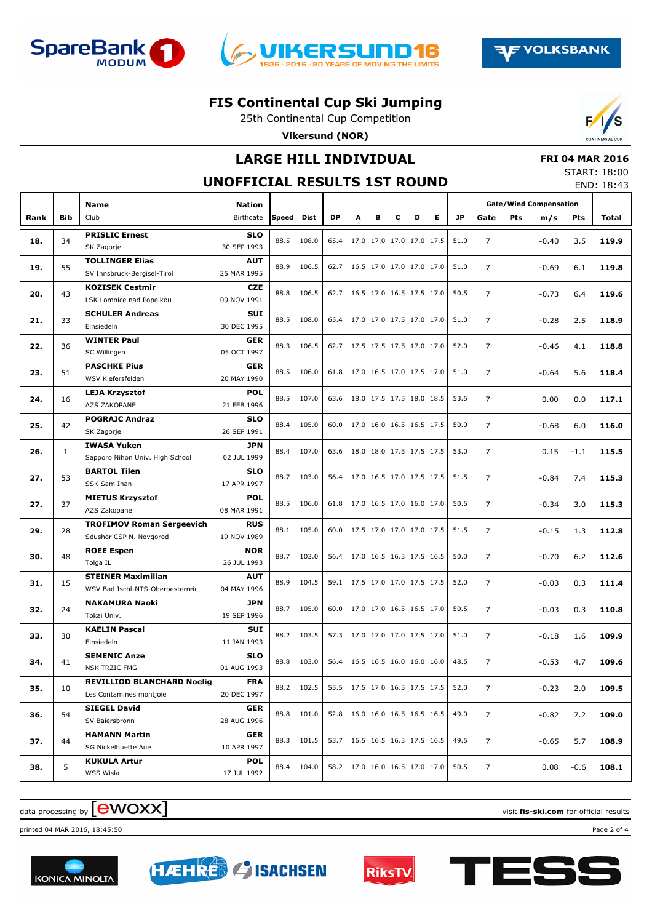





25th Continental Cup Competition **Vikersund (NOR)**

## **LARGE HILL INDIVIDUAL**

#### **FRI 04 MAR 2016**

#### **UNOFFICIAL RESULTS 1ST ROUND**

| START: 18:00 |            |
|--------------|------------|
|              | END: 18:43 |

|      |     | Name                                                         | <b>Nation</b>             |       |            |           |                          |                          |   |   |   |      | <b>Gate/Wind Compensation</b> |     |         |        |       |
|------|-----|--------------------------------------------------------------|---------------------------|-------|------------|-----------|--------------------------|--------------------------|---|---|---|------|-------------------------------|-----|---------|--------|-------|
| Rank | Bib | Club                                                         | Birthdate                 | Speed | Dist       | <b>DP</b> | A                        | в                        | c | D | Е | JP.  | Gate                          | Pts | m/s     | Pts    | Total |
|      |     | <b>PRISLIC Ernest</b>                                        | <b>SLO</b>                |       |            |           |                          |                          |   |   |   |      |                               |     |         |        |       |
| 18.  | 34  | SK Zagorje                                                   | 30 SEP 1993               | 88.5  | 108.0      | 65.4      |                          | 17.0 17.0 17.0 17.0 17.5 |   |   |   | 51.0 | $\overline{7}$                |     | $-0.40$ | 3.5    | 119.9 |
|      |     | <b>TOLLINGER Elias</b>                                       | <b>AUT</b>                |       |            |           |                          |                          |   |   |   |      |                               |     |         |        |       |
| 19.  | 55  | SV Innsbruck-Bergisel-Tirol                                  | 25 MAR 1995               | 88.9  | 106.5      | 62.7      |                          | 16.5 17.0 17.0 17.0 17.0 |   |   |   | 51.0 | $\overline{7}$                |     | $-0.69$ | 6.1    | 119.8 |
|      |     | <b>KOZISEK Cestmir</b>                                       | <b>CZE</b>                |       |            |           |                          |                          |   |   |   |      |                               |     |         |        |       |
| 20.  | 43  | LSK Lomnice nad Popelkou                                     | 09 NOV 1991               | 88.8  | 106.5      | 62.7      |                          | 16.5 17.0 16.5 17.5 17.0 |   |   |   | 50.5 | $\overline{7}$                |     | $-0.73$ | 6.4    | 119.6 |
|      |     | <b>SCHULER Andreas</b>                                       | <b>SUI</b>                |       |            |           |                          |                          |   |   |   |      |                               |     |         |        |       |
| 21.  | 33  | Einsiedeln                                                   | 30 DEC 1995               | 88.5  | 108.0      | 65.4      |                          | 17.0 17.0 17.5 17.0 17.0 |   |   |   | 51.0 | $\overline{7}$                |     | $-0.28$ | 2.5    | 118.9 |
|      | 36  | <b>WINTER Paul</b>                                           | <b>GER</b>                | 88.3  | 106.5      | 62.7      |                          | 17.5 17.5 17.5 17.0 17.0 |   |   |   | 52.0 | $\overline{7}$                |     |         |        | 118.8 |
| 22.  |     | SC Willingen                                                 | 05 OCT 1997               |       |            |           |                          |                          |   |   |   |      |                               |     | $-0.46$ | 4.1    |       |
| 23.  | 51  | <b>PASCHKE Pius</b>                                          | <b>GER</b>                | 88.5  | 106.0      | 61.8      |                          | 17.0 16.5 17.0 17.5 17.0 |   |   |   | 51.0 | $\overline{7}$                |     | $-0.64$ | 5.6    | 118.4 |
|      |     | WSV Kiefersfelden                                            | 20 MAY 1990               |       |            |           |                          |                          |   |   |   |      |                               |     |         |        |       |
| 24.  | 16  | <b>LEJA Krzysztof</b>                                        | <b>POL</b>                | 88.5  | 107.0      | 63.6      |                          | 18.0 17.5 17.5 18.0 18.5 |   |   |   | 53.5 | $\overline{7}$                |     | 0.00    | 0.0    | 117.1 |
|      |     | AZS ZAKOPANE                                                 | 21 FEB 1996               |       |            |           |                          |                          |   |   |   |      |                               |     |         |        |       |
| 25.  | 42  | <b>POGRAJC Andraz</b>                                        | <b>SLO</b>                | 88.4  | 105.0      | 60.0      |                          | 17.0 16.0 16.5 16.5 17.5 |   |   |   | 50.0 | $\overline{7}$                |     | $-0.68$ | 6.0    | 116.0 |
|      |     | SK Zagorje                                                   | 26 SEP 1991               |       |            |           |                          |                          |   |   |   |      |                               |     |         |        |       |
| 26.  | 1   | <b>IWASA Yuken</b><br>Sapporo Nihon Univ. High School        | <b>JPN</b><br>02 JUL 1999 | 88.4  | 107.0      | 63.6      |                          | 18.0 18.0 17.5 17.5 17.5 |   |   |   | 53.0 | $\overline{7}$                |     | 0.15    | $-1.1$ | 115.5 |
|      |     | <b>BARTOL Tilen</b>                                          | <b>SLO</b>                |       |            |           |                          |                          |   |   |   |      |                               |     |         |        |       |
| 27.  | 53  | SSK Sam Ihan                                                 | 17 APR 1997               | 88.7  | 103.0      | 56.4      |                          | 17.0 16.5 17.0 17.5 17.5 |   |   |   | 51.5 | $\overline{7}$                |     | $-0.84$ | 7.4    | 115.3 |
|      |     | <b>MIETUS Krzysztof</b>                                      | <b>POL</b>                |       |            |           |                          |                          |   |   |   |      |                               |     |         |        |       |
| 27.  | 37  | AZS Zakopane                                                 | 08 MAR 1991               | 88.5  | 106.0      | 61.8      |                          | 17.0 16.5 17.0 16.0 17.0 |   |   |   | 50.5 | $\overline{7}$                |     | $-0.34$ | 3.0    | 115.3 |
|      |     | <b>TROFIMOV Roman Sergeevich</b>                             | <b>RUS</b>                |       |            |           |                          |                          |   |   |   |      |                               |     |         |        |       |
| 29.  | 28  | Sdushor CSP N. Novgorod                                      | 19 NOV 1989               | 88.1  | 105.0      | 60.0      |                          | 17.5 17.0 17.0 17.0 17.5 |   |   |   | 51.5 | $\overline{7}$                |     | $-0.15$ | 1.3    | 112.8 |
|      |     | <b>ROEE Espen</b>                                            | <b>NOR</b>                | 88.7  | 103.0      |           |                          | 17.0 16.5 16.5 17.5 16.5 |   |   |   |      |                               |     |         |        |       |
| 30.  | 48  | Tolga IL                                                     | 26 JUL 1993               |       |            | 56.4      |                          |                          |   |   |   | 50.0 | $\overline{7}$                |     | $-0.70$ | 6.2    | 112.6 |
| 31.  | 15  | <b>STEINER Maximilian</b>                                    | <b>AUT</b>                | 88.9  | 104.5      | 59.1      |                          | 17.5 17.0 17.0 17.5 17.5 |   |   |   | 52.0 | $\overline{7}$                |     | $-0.03$ | 0.3    | 111.4 |
|      |     | WSV Bad Ischl-NTS-Oberoesterreic                             | 04 MAY 1996               |       |            |           |                          |                          |   |   |   |      |                               |     |         |        |       |
| 32.  | 24  | <b>NAKAMURA Naoki</b>                                        | <b>JPN</b>                | 88.7  | 105.0      | 60.0      |                          | 17.0 17.0 16.5 16.5 17.0 |   |   |   | 50.5 | $\overline{7}$                |     | $-0.03$ | 0.3    | 110.8 |
|      |     | Tokai Univ.                                                  | 19 SEP 1996               |       |            |           |                          |                          |   |   |   |      |                               |     |         |        |       |
| 33.  | 30  | <b>KAELIN Pascal</b>                                         | <b>SUI</b>                | 88.2  | 103.5      | 57.3      |                          | 17.0 17.0 17.0 17.5 17.0 |   |   |   | 51.0 | $\overline{7}$                |     | $-0.18$ | 1.6    | 109.9 |
|      |     | Einsiedeln                                                   | 11 JAN 1993               |       |            |           |                          |                          |   |   |   |      |                               |     |         |        |       |
| 34.  | 41  | <b>SEMENIC Anze</b>                                          | <b>SLO</b>                | 88.8  | 103.0      | 56.4      |                          | 16.5 16.5 16.0 16.0 16.0 |   |   |   | 48.5 | $\overline{7}$                |     | $-0.53$ | 4.7    | 109.6 |
|      |     | <b>NSK TRZIC FMG</b>                                         | 01 AUG 1993               |       |            |           |                          |                          |   |   |   |      |                               |     |         |        |       |
| 35.  | 10  | <b>REVILLIOD BLANCHARD Noelig</b><br>Les Contamines montjoie | <b>FRA</b><br>20 DEC 1997 |       | 88.2 102.5 | 55.5      |                          | 17.5 17.0 16.5 17.5 17.5 |   |   |   | 52.0 | $\overline{7}$                |     | $-0.23$ | 2.0    | 109.5 |
|      |     | <b>SIEGEL David</b>                                          | <b>GER</b>                |       |            |           |                          |                          |   |   |   |      |                               |     |         |        |       |
| 36.  | 54  | SV Baiersbronn                                               | 28 AUG 1996               |       | 88.8 101.0 | 52.8      | 16.0 16.0 16.5 16.5 16.5 |                          |   |   |   | 49.0 | $\overline{7}$                |     | $-0.82$ | 7.2    | 109.0 |
|      |     | <b>HAMANN Martin</b>                                         | <b>GER</b>                |       |            |           |                          |                          |   |   |   |      |                               |     |         |        |       |
| 37.  | 44  | SG Nickelhuette Aue                                          | 10 APR 1997               |       | 88.3 101.5 | 53.7      |                          | 16.5 16.5 16.5 17.5 16.5 |   |   |   | 49.5 | $\overline{7}$                |     | $-0.65$ | 5.7    | 108.9 |
|      |     | <b>KUKULA Artur</b>                                          | <b>POL</b>                |       |            |           |                          |                          |   |   |   |      |                               |     |         |        |       |
| 38.  | 5   | WSS Wisla                                                    | 17 JUL 1992               |       | 88.4 104.0 | 58.2      |                          | 17.0 16.0 16.5 17.0 17.0 |   |   |   | 50.5 | $\overline{7}$                |     | 0.08    | $-0.6$ | 108.1 |

# data processing by **CWOXX** and the set of the set of the set of the set of the set of the set of the set of the set of the set of the set of the set of the set of the set of the set of the set of the set of the set of the

printed 04 MAR 2016, 18:45:50 Page 2 of 4





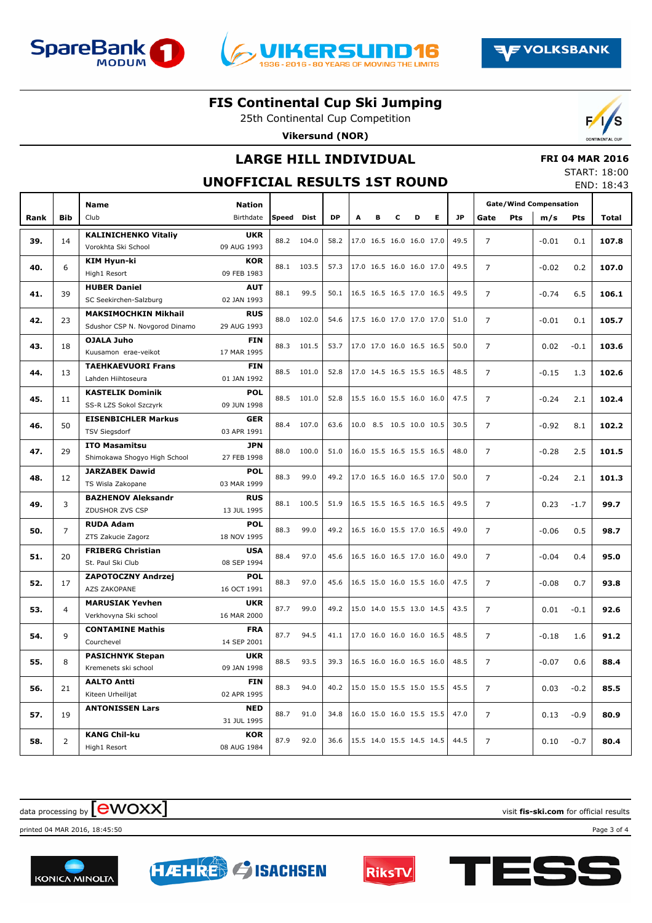





25th Continental Cup Competition **Vikersund (NOR)**

## **LARGE HILL INDIVIDUAL**

## **FRI 04 MAR 2016**

#### **UNOFFICIAL RESULTS 1ST ROUND**

| START: 18:00 |            |
|--------------|------------|
|              | END: 18:43 |

|      |                | <b>Name</b>                                       | <b>Nation</b>             |       |       |           |   |   |   |                          |   |           | <b>Gate/Wind Compensation</b> |     |         |        |       |
|------|----------------|---------------------------------------------------|---------------------------|-------|-------|-----------|---|---|---|--------------------------|---|-----------|-------------------------------|-----|---------|--------|-------|
| Rank | <b>Bib</b>     | Club                                              | Birthdate                 | Speed | Dist  | <b>DP</b> | A | в | c | D                        | E | <b>JP</b> | Gate                          | Pts | m/s     | Pts    | Total |
|      |                | <b>KALINICHENKO Vitaliy</b>                       | <b>UKR</b>                |       |       |           |   |   |   |                          |   |           |                               |     |         |        |       |
| 39.  | 14             | Vorokhta Ski School                               | 09 AUG 1993               | 88.2  | 104.0 | 58.2      |   |   |   | 17.0 16.5 16.0 16.0 17.0 |   | 49.5      | $\overline{7}$                |     | $-0.01$ | 0.1    | 107.8 |
|      |                | <b>KIM Hyun-ki</b>                                | <b>KOR</b>                | 88.1  |       |           |   |   |   |                          |   | 49.5      |                               |     |         |        |       |
| 40.  | 6              | High1 Resort                                      | 09 FEB 1983               |       | 103.5 | 57.3      |   |   |   | 17.0 16.5 16.0 16.0 17.0 |   |           | $\overline{7}$                |     | $-0.02$ | 0.2    | 107.0 |
| 41.  | 39             | <b>HUBER Daniel</b>                               | <b>AUT</b>                | 88.1  | 99.5  | 50.1      |   |   |   | 16.5 16.5 16.5 17.0 16.5 |   | 49.5      | $\overline{7}$                |     | $-0.74$ | 6.5    | 106.1 |
|      |                | SC Seekirchen-Salzburg                            | 02 JAN 1993               |       |       |           |   |   |   |                          |   |           |                               |     |         |        |       |
| 42.  | 23             | <b>MAKSIMOCHKIN Mikhail</b>                       | <b>RUS</b>                | 88.0  | 102.0 | 54.6      |   |   |   | 17.5 16.0 17.0 17.0 17.0 |   | 51.0      | $\overline{7}$                |     | $-0.01$ | 0.1    | 105.7 |
|      |                | Sdushor CSP N. Novgorod Dinamo                    | 29 AUG 1993               |       |       |           |   |   |   |                          |   |           |                               |     |         |        |       |
| 43.  | 18             | OJALA Juho                                        | <b>FIN</b>                | 88.3  | 101.5 | 53.7      |   |   |   | 17.0 17.0 16.0 16.5 16.5 |   | 50.0      | $\overline{7}$                |     | 0.02    | $-0.1$ | 103.6 |
|      |                | Kuusamon erae-veikot                              | 17 MAR 1995               |       |       |           |   |   |   |                          |   |           |                               |     |         |        |       |
| 44.  | 13             | <b>TAEHKAEVUORI Frans</b>                         | <b>FIN</b>                | 88.5  | 101.0 | 52.8      |   |   |   | 17.0 14.5 16.5 15.5 16.5 |   | 48.5      | $\overline{7}$                |     | $-0.15$ | 1.3    | 102.6 |
|      |                | Lahden Hiihtoseura                                | 01 JAN 1992               |       |       |           |   |   |   |                          |   |           |                               |     |         |        |       |
| 45.  | 11             | <b>KASTELIK Dominik</b><br>SS-R LZS Sokol Szczyrk | POL<br>09 JUN 1998        | 88.5  | 101.0 | 52.8      |   |   |   | 15.5 16.0 15.5 16.0 16.0 |   | 47.5      | $\overline{7}$                |     | $-0.24$ | 2.1    | 102.4 |
|      |                | <b>EISENBICHLER Markus</b>                        | <b>GER</b>                |       |       |           |   |   |   |                          |   |           |                               |     |         |        |       |
| 46.  | 50             | <b>TSV Siegsdorf</b>                              | 03 APR 1991               | 88.4  | 107.0 | 63.6      |   |   |   | 10.0 8.5 10.5 10.0 10.5  |   | 30.5      | $\overline{7}$                |     | $-0.92$ | 8.1    | 102.2 |
|      |                | <b>ITO Masamitsu</b>                              | <b>JPN</b>                |       |       |           |   |   |   |                          |   |           |                               |     |         |        |       |
| 47.  | 29             | Shimokawa Shogyo High School                      | 27 FEB 1998               | 88.0  | 100.0 | 51.0      |   |   |   | 16.0 15.5 16.5 15.5 16.5 |   | 48.0      | $\overline{7}$                |     | $-0.28$ | 2.5    | 101.5 |
|      |                | <b>JARZABEK Dawid</b>                             | <b>POL</b>                |       |       |           |   |   |   |                          |   |           |                               |     |         |        |       |
| 48.  | 12             | TS Wisla Zakopane                                 | 03 MAR 1999               | 88.3  | 99.0  | 49.2      |   |   |   | 17.0 16.5 16.0 16.5 17.0 |   | 50.0      | $\overline{7}$                |     | $-0.24$ | 2.1    | 101.3 |
|      |                | <b>BAZHENOV Aleksandr</b>                         | <b>RUS</b>                |       |       |           |   |   |   |                          |   |           |                               |     |         |        |       |
| 49.  | 3              | ZDUSHOR ZVS CSP                                   | 13 JUL 1995               | 88.1  | 100.5 | 51.9      |   |   |   | 16.5 15.5 16.5 16.5 16.5 |   | 49.5      | $\overline{7}$                |     | 0.23    | $-1.7$ | 99.7  |
| 50.  | $\overline{7}$ | <b>RUDA Adam</b>                                  | <b>POL</b>                | 88.3  | 99.0  | 49.2      |   |   |   | 16.5 16.0 15.5 17.0 16.5 |   | 49.0      | $\overline{7}$                |     | $-0.06$ | 0.5    | 98.7  |
|      |                | ZTS Zakucie Zagorz                                | 18 NOV 1995               |       |       |           |   |   |   |                          |   |           |                               |     |         |        |       |
| 51.  | 20             | <b>FRIBERG Christian</b>                          | <b>USA</b>                | 88.4  | 97.0  | 45.6      |   |   |   | 16.5 16.0 16.5 17.0 16.0 |   | 49.0      | $\overline{7}$                |     | $-0.04$ | 0.4    | 95.0  |
|      |                | St. Paul Ski Club                                 | 08 SEP 1994               |       |       |           |   |   |   |                          |   |           |                               |     |         |        |       |
| 52.  | 17             | ZAPOTOCZNY Andrzej                                | POL                       | 88.3  | 97.0  | 45.6      |   |   |   | 16.5 15.0 16.0 15.5 16.0 |   | 47.5      | $\overline{7}$                |     | $-0.08$ | 0.7    | 93.8  |
|      |                | <b>AZS ZAKOPANE</b>                               | 16 OCT 1991               |       |       |           |   |   |   |                          |   |           |                               |     |         |        |       |
| 53.  | $\overline{4}$ | <b>MARUSIAK Yevhen</b>                            | <b>UKR</b>                | 87.7  | 99.0  | 49.2      |   |   |   | 15.0 14.0 15.5 13.0 14.5 |   | 43.5      | $\overline{7}$                |     | 0.01    | $-0.1$ | 92.6  |
|      |                | Verkhovyna Ski school                             | 16 MAR 2000               |       |       |           |   |   |   |                          |   |           |                               |     |         |        |       |
| 54.  | 9              | <b>CONTAMINE Mathis</b>                           | <b>FRA</b><br>14 SEP 2001 | 87.7  | 94.5  | 41.1      |   |   |   | 17.0 16.0 16.0 16.0 16.5 |   | 48.5      | $\overline{7}$                |     | $-0.18$ | 1.6    | 91.2  |
|      |                | Courchevel<br><b>PASICHNYK Stepan</b>             | <b>UKR</b>                |       |       |           |   |   |   |                          |   |           |                               |     |         |        |       |
| 55.  | 8              | Kremenets ski school                              | 09 JAN 1998               | 88.5  | 93.5  | 39.3      |   |   |   | 16.5 16.0 16.0 16.5 16.0 |   | 48.5      | $\overline{7}$                |     | $-0.07$ | 0.6    | 88.4  |
|      |                | <b>AALTO Antti</b>                                | <b>FIN</b>                |       |       |           |   |   |   |                          |   |           |                               |     |         |        |       |
| 56.  | 21             | Kiteen Urheilijat                                 | 02 APR 1995               | 88.3  | 94.0  | 40.2      |   |   |   | 15.0 15.0 15.5 15.0 15.5 |   | 45.5      | $\overline{7}$                |     | 0.03    | $-0.2$ | 85.5  |
|      |                | <b>ANTONISSEN Lars</b>                            | <b>NED</b>                |       |       |           |   |   |   |                          |   |           |                               |     |         |        |       |
| 57.  | 19             |                                                   | 31 JUL 1995               | 88.7  | 91.0  | 34.8      |   |   |   | 16.0 15.0 16.0 15.5 15.5 |   | 47.0      | $\overline{7}$                |     | 0.13    | $-0.9$ | 80.9  |
|      |                | <b>KANG Chil-ku</b>                               | <b>KOR</b>                |       |       |           |   |   |   |                          |   |           |                               |     |         |        |       |
| 58.  | 2              | High1 Resort                                      | 08 AUG 1984               | 87.9  | 92.0  | 36.6      |   |   |   | 15.5 14.0 15.5 14.5 14.5 |   | 44.5      | $\overline{7}$                |     | 0.10    | $-0.7$ | 80.4  |

## data processing by **CWOXX** and  $\blacksquare$  and  $\blacksquare$  and  $\blacksquare$  and  $\blacksquare$  and  $\blacksquare$  and  $\blacksquare$  and  $\blacksquare$  and  $\blacksquare$  and  $\blacksquare$  and  $\blacksquare$  and  $\blacksquare$  and  $\blacksquare$  and  $\blacksquare$  and  $\blacksquare$  and  $\blacksquare$  and  $\blacksquare$  and  $\blacksquare$  and  $\blacks$

printed 04 MAR 2016, 18:45:50 Page 3 of 4

**KONICA MINOLTA**